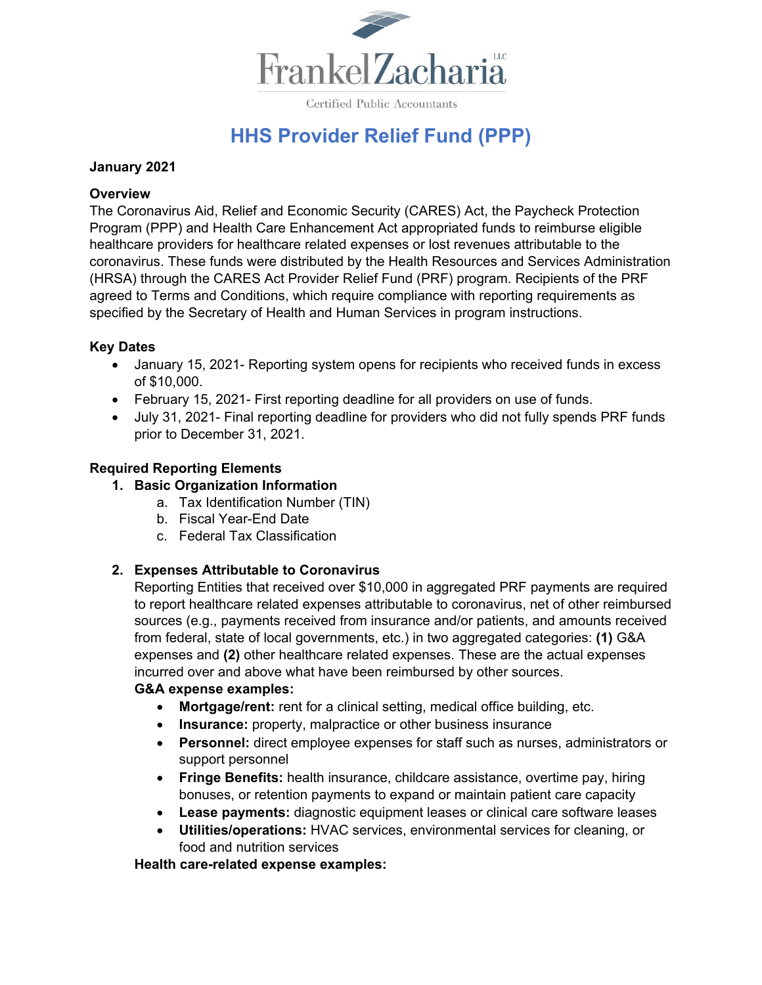

Certified Public Accountants

# **HHS Provider Relief Fund (PPP)**

#### **January 2021**

## **Overview**

The Coronavirus Aid, Relief and Economic Security (CARES) Act, the Paycheck Protection Program (PPP) and Health Care Enhancement Act appropriated funds to reimburse eligible healthcare providers for healthcare related expenses or lost revenues attributable to the coronavirus. These funds were distributed by the Health Resources and Services Administration (HRSA) through the CARES Act Provider Relief Fund (PRF) program. Recipients of the PRF agreed to Terms and Conditions, which require compliance with reporting requirements as specified by the Secretary of Health and Human Services in program instructions.

# **Key Dates**

- January 15, 2021- Reporting system opens for recipients who received funds in excess of \$10,000.
- February 15, 2021- First reporting deadline for all providers on use of funds.
- July 31, 2021- Final reporting deadline for providers who did not fully spends PRF funds prior to December 31, 2021.

## **Required Reporting Elements**

- **1. Basic Organization Information** 
	- a. Tax Identification Number (TIN)
	- b. Fiscal Year-End Date
	- c. Federal Tax Classification

#### **2. Expenses Attributable to Coronavirus**

Reporting Entities that received over \$10,000 in aggregated PRF payments are required to report healthcare related expenses attributable to coronavirus, net of other reimbursed sources (e.g., payments received from insurance and/or patients, and amounts received from federal, state of local governments, etc.) in two aggregated categories: **(1)** G&A expenses and **(2)** other healthcare related expenses. These are the actual expenses incurred over and above what have been reimbursed by other sources.

#### **G&A expense examples:**

- **Mortgage/rent:** rent for a clinical setting, medical office building, etc.
- **Insurance:** property, malpractice or other business insurance
- **Personnel:** direct employee expenses for staff such as nurses, administrators or support personnel
- **Fringe Benefits:** health insurance, childcare assistance, overtime pay, hiring bonuses, or retention payments to expand or maintain patient care capacity
- **Lease payments:** diagnostic equipment leases or clinical care software leases
- **Utilities/operations:** HVAC services, environmental services for cleaning, or food and nutrition services

**Health care-related expense examples:**